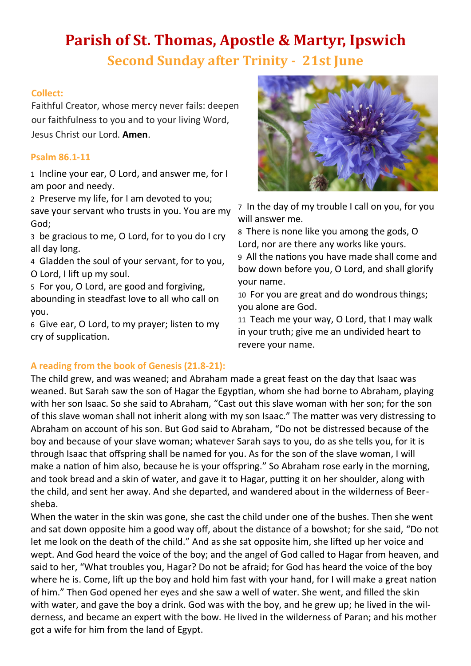# **Parish of St. Thomas, Apostle & Martyr, Ipswich Second Sunday after Trinity - 21st June**

# **Collect:**

Faithful Creator, whose mercy never fails: deepen our faithfulness to you and to your living Word, Jesus Christ our Lord. **Amen**.

# **Psalm 86.1-11**

1 Incline your ear, O Lord, and answer me, for I am poor and needy.

2 Preserve my life, for I am devoted to you; save your servant who trusts in you. You are my God;

3 be gracious to me, O Lord, for to you do I cry all day long.

4 Gladden the soul of your servant, for to you, O Lord, I lift up my soul.

5 For you, O Lord, are good and forgiving, abounding in steadfast love to all who call on

you. 6 Give ear, O Lord, to my prayer; listen to my cry of supplication.



7 In the day of my trouble I call on you, for you will answer me.

8 There is none like you among the gods, O Lord, nor are there any works like yours.

9 All the nations you have made shall come and bow down before you, O Lord, and shall glorify your name.

10 For you are great and do wondrous things; you alone are God.

11 Teach me your way, O Lord, that I may walk in your truth; give me an undivided heart to revere your name.

# **A reading from the book of Genesis (21.8-21):**

The child grew, and was weaned; and Abraham made a great feast on the day that Isaac was weaned. But Sarah saw the son of Hagar the Egyptian, whom she had borne to Abraham, playing with her son Isaac. So she said to Abraham, "Cast out this slave woman with her son; for the son of this slave woman shall not inherit along with my son Isaac." The matter was very distressing to Abraham on account of his son. But God said to Abraham, "Do not be distressed because of the boy and because of your slave woman; whatever Sarah says to you, do as she tells you, for it is through Isaac that offspring shall be named for you. As for the son of the slave woman, I will make a nation of him also, because he is your offspring." So Abraham rose early in the morning, and took bread and a skin of water, and gave it to Hagar, putting it on her shoulder, along with the child, and sent her away. And she departed, and wandered about in the wilderness of Beersheba.

When the water in the skin was gone, she cast the child under one of the bushes. Then she went and sat down opposite him a good way off, about the distance of a bowshot; for she said, "Do not let me look on the death of the child." And as she sat opposite him, she lifted up her voice and wept. And God heard the voice of the boy; and the angel of God called to Hagar from heaven, and said to her, "What troubles you, Hagar? Do not be afraid; for God has heard the voice of the boy where he is. Come, lift up the boy and hold him fast with your hand, for I will make a great nation of him." Then God opened her eyes and she saw a well of water. She went, and filled the skin with water, and gave the boy a drink. God was with the boy, and he grew up; he lived in the wilderness, and became an expert with the bow. He lived in the wilderness of Paran; and his mother got a wife for him from the land of Egypt.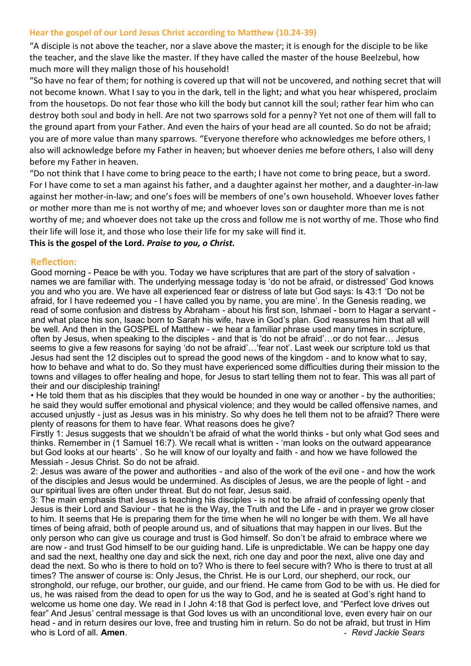#### **Hear the gospel of our Lord Jesus Christ according to Matthew (10.24-39)**

"A disciple is not above the teacher, nor a slave above the master; it is enough for the disciple to be like the teacher, and the slave like the master. If they have called the master of the house Beelzebul, how much more will they malign those of his household!

"So have no fear of them; for nothing is covered up that will not be uncovered, and nothing secret that will not become known. What I say to you in the dark, tell in the light; and what you hear whispered, proclaim from the housetops. Do not fear those who kill the body but cannot kill the soul; rather fear him who can destroy both soul and body in hell. Are not two sparrows sold for a penny? Yet not one of them will fall to the ground apart from your Father. And even the hairs of your head are all counted. So do not be afraid; you are of more value than many sparrows. "Everyone therefore who acknowledges me before others, I also will acknowledge before my Father in heaven; but whoever denies me before others, I also will deny before my Father in heaven.

"Do not think that I have come to bring peace to the earth; I have not come to bring peace, but a sword. For I have come to set a man against his father, and a daughter against her mother, and a daughter-in-law against her mother-in-law; and one's foes will be members of one's own household. Whoever loves father or mother more than me is not worthy of me; and whoever loves son or daughter more than me is not worthy of me; and whoever does not take up the cross and follow me is not worthy of me. Those who find their life will lose it, and those who lose their life for my sake will find it.

#### **This is the gospel of the Lord.** *Praise to you, o Christ.*

#### **Reflection:**

Good morning - Peace be with you. Today we have scriptures that are part of the story of salvation names we are familiar with. The underlying message today is 'do not be afraid, or distressed' God knows you and who you are. We have all experienced fear or distress of late but God says: Is 43:1 'Do not be afraid, for I have redeemed you - I have called you by name, you are mine'. In the Genesis reading, we read of some confusion and distress by Abraham - about his first son, Ishmael - born to Hagar a servant and what place his son, Isaac born to Sarah his wife, have in God's plan. God reassures him that all will be well. And then in the GOSPEL of Matthew - we hear a familiar phrase used many times in scripture, often by Jesus, when speaking to the disciples - and that is 'do not be afraid'…or do not fear… Jesus seems to give a few reasons for saying 'do not be afraid'…'fear not'. Last week our scripture told us that Jesus had sent the 12 disciples out to spread the good news of the kingdom - and to know what to say, how to behave and what to do. So they must have experienced some difficulties during their mission to the towns and villages to offer healing and hope, for Jesus to start telling them not to fear. This was all part of their and our discipleship training!

• He told them that as his disciples that they would be hounded in one way or another - by the authorities; he said they would suffer emotional and physical violence; and they would be called offensive names, and accused unjustly - just as Jesus was in his ministry. So why does he tell them not to be afraid? There were plenty of reasons for them to have fear. What reasons does he give?

Firstly 1: Jesus suggests that we shouldn't be afraid of what the world thinks - but only what God sees and thinks. Remember in (1 Samuel 16:7). We recall what is written - 'man looks on the outward appearance but God looks at our hearts' . So he will know of our loyalty and faith - and how we have followed the Messiah - Jesus Christ. So do not be afraid.

2: Jesus was aware of the power and authorities - and also of the work of the evil one - and how the work of the disciples and Jesus would be undermined. As disciples of Jesus, we are the people of light - and our spiritual lives are often under threat. But do not fear, Jesus said.

3: The main emphasis that Jesus is teaching his disciples - is not to be afraid of confessing openly that Jesus is their Lord and Saviour - that he is the Way, the Truth and the Life - and in prayer we grow closer to him. It seems that He is preparing them for the time when he will no longer be with them. We all have times of being afraid, both of people around us, and of situations that may happen in our lives. But the only person who can give us courage and trust is God himself. So don't be afraid to embrace where we are now - and trust God himself to be our guiding hand. Life is unpredictable. We can be happy one day and sad the next, healthy one day and sick the next, rich one day and poor the next, alive one day and dead the next. So who is there to hold on to? Who is there to feel secure with? Who is there to trust at all times? The answer of course is: Only Jesus, the Christ. He is our Lord, our shepherd, our rock, our stronghold, our refuge, our brother, our guide, and our friend. He came from God to be with us. He died for us, he was raised from the dead to open for us the way to God, and he is seated at God's right hand to welcome us home one day. We read in I John 4:18 that God is perfect love, and "Perfect love drives out fear" And Jesus' central message is that God loves us with an unconditional love, even every hair on our head - and in return desires our love, free and trusting him in return. So do not be afraid, but trust in Him who is Lord of all. **Amen**. **-** *Revd Jackie Sears*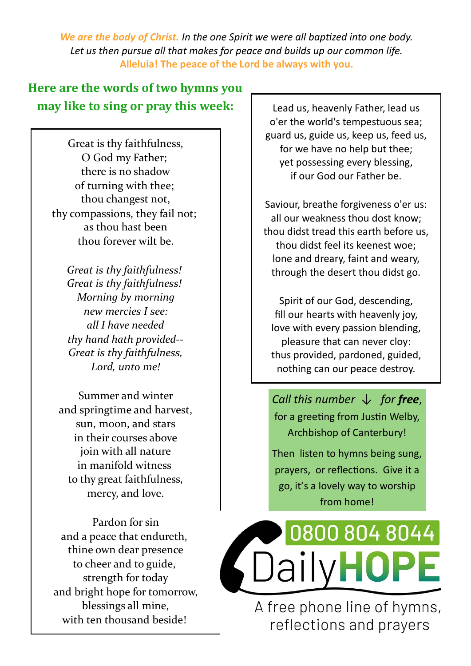*We are the body of Christ. In the one Spirit we were all baptized into one body. Let us then pursue all that makes for peace and builds up our common life.*  **Alleluia! The peace of the Lord be always with you.**

# **Here are the words of two hymns you may like to sing or pray this week:**

Great is thy faithfulness, O God my Father; there is no shadow of turning with thee; thou changest not, thy compassions, they fail not; as thou hast been thou forever wilt be.

*Great is thy faithfulness! Great is thy faithfulness! Morning by morning new mercies I see: all I have needed thy hand hath provided-- Great is thy faithfulness, Lord, unto me!* 

Summer and winter and springtime and harvest, sun, moon, and stars in their courses above join with all nature in manifold witness to thy great faithfulness, mercy, and love.

Pardon for sin and a peace that endureth, thine own dear presence to cheer and to guide, strength for today and bright hope for tomorrow, blessings all mine, with ten thousand beside!

Lead us, heavenly Father, lead us o'er the world's tempestuous sea; guard us, guide us, keep us, feed us, for we have no help but thee; yet possessing every blessing, if our God our Father be.

Saviour, breathe forgiveness o'er us: all our weakness thou dost know; thou didst tread this earth before us, thou didst feel its keenest woe; lone and dreary, faint and weary, through the desert thou didst go.

Spirit of our God, descending, fill our hearts with heavenly joy, love with every passion blending, pleasure that can never cloy: thus provided, pardoned, guided, nothing can our peace destroy.

*Call this number* ↓ *for free*, for a greeting from Justin Welby, Archbishop of Canterbury!

Then listen to hymns being sung, prayers, or reflections. Give it a go, it's a lovely way to worship from home!



A free phone line of hymns, reflections and prayers